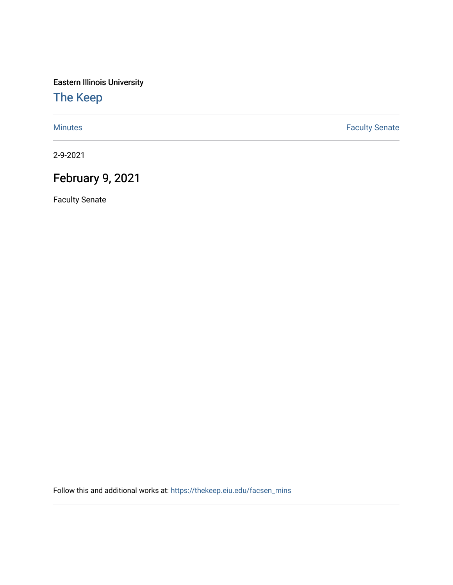Eastern Illinois University

## [The Keep](https://thekeep.eiu.edu/)

[Minutes](https://thekeep.eiu.edu/facsen_mins) **Faculty Senate** 

2-9-2021

# February 9, 2021

Faculty Senate

Follow this and additional works at: [https://thekeep.eiu.edu/facsen\\_mins](https://thekeep.eiu.edu/facsen_mins?utm_source=thekeep.eiu.edu%2Ffacsen_mins%2F1146&utm_medium=PDF&utm_campaign=PDFCoverPages)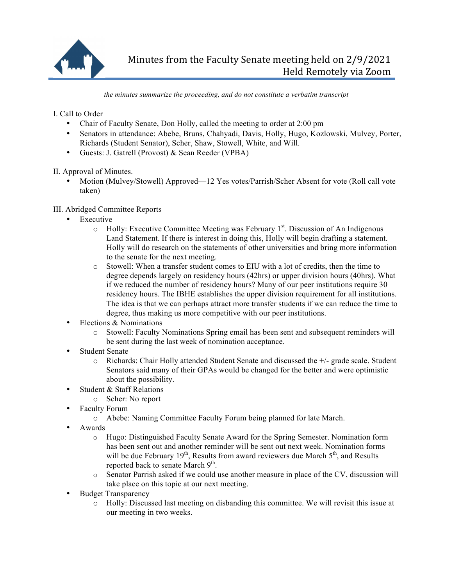

*the minutes summarize the proceeding, and do not constitute a verbatim transcript*

I. Call to Order

- Chair of Faculty Senate, Don Holly, called the meeting to order at 2:00 pm
- Senators in attendance: Abebe, Bruns, Chahyadi, Davis, Holly, Hugo, Kozlowski, Mulvey, Porter, Richards (Student Senator), Scher, Shaw, Stowell, White, and Will.
- Guests: J. Gatrell (Provost) & Sean Reeder (VPBA)

II. Approval of Minutes.

• Motion (Mulvey/Stowell) Approved—12 Yes votes/Parrish/Scher Absent for vote (Roll call vote taken)

## III. Abridged Committee Reports

- **Executive** 
	- o Holly: Executive Committee Meeting was February 1<sup>st</sup>. Discussion of An Indigenous Land Statement. If there is interest in doing this, Holly will begin drafting a statement. Holly will do research on the statements of other universities and bring more information to the senate for the next meeting.
	- o Stowell: When a transfer student comes to EIU with a lot of credits, then the time to degree depends largely on residency hours (42hrs) or upper division hours (40hrs). What if we reduced the number of residency hours? Many of our peer institutions require 30 residency hours. The IBHE establishes the upper division requirement for all institutions. The idea is that we can perhaps attract more transfer students if we can reduce the time to degree, thus making us more competitive with our peer institutions.
- Elections & Nominations
	- o Stowell: Faculty Nominations Spring email has been sent and subsequent reminders will be sent during the last week of nomination acceptance.
- **Student Senate** 
	- o Richards: Chair Holly attended Student Senate and discussed the +/- grade scale. Student Senators said many of their GPAs would be changed for the better and were optimistic about the possibility.
- Student & Staff Relations
	- o Scher: No report
- Faculty Forum
	- o Abebe: Naming Committee Faculty Forum being planned for late March.
- Awards
	- o Hugo: Distinguished Faculty Senate Award for the Spring Semester. Nomination form has been sent out and another reminder will be sent out next week. Nomination forms will be due February  $19<sup>th</sup>$ , Results from award reviewers due March  $5<sup>th</sup>$ , and Results reported back to senate March  $9<sup>th</sup>$ .
	- o Senator Parrish asked if we could use another measure in place of the CV, discussion will take place on this topic at our next meeting.
- Budget Transparency
	- o Holly: Discussed last meeting on disbanding this committee. We will revisit this issue at our meeting in two weeks.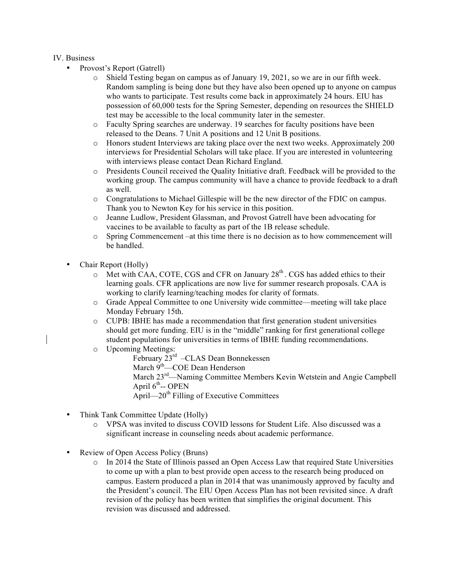#### IV. Business

- Provost's Report (Gatrell)
	- o Shield Testing began on campus as of January 19, 2021, so we are in our fifth week. Random sampling is being done but they have also been opened up to anyone on campus who wants to participate. Test results come back in approximately 24 hours. EIU has possession of 60,000 tests for the Spring Semester, depending on resources the SHIELD test may be accessible to the local community later in the semester.
	- o Faculty Spring searches are underway. 19 searches for faculty positions have been released to the Deans. 7 Unit A positions and 12 Unit B positions.
	- o Honors student Interviews are taking place over the next two weeks. Approximately 200 interviews for Presidential Scholars will take place. If you are interested in volunteering with interviews please contact Dean Richard England.
	- o Presidents Council received the Quality Initiative draft. Feedback will be provided to the working group. The campus community will have a chance to provide feedback to a draft as well.
	- o Congratulations to Michael Gillespie will be the new director of the FDIC on campus. Thank you to Newton Key for his service in this position.
	- o Jeanne Ludlow, President Glassman, and Provost Gatrell have been advocating for vaccines to be available to faculty as part of the 1B release schedule.
	- o Spring Commencement –at this time there is no decision as to how commencement will be handled.
- Chair Report (Holly)
	- $\circ$  Met with CAA, COTE, CGS and CFR on January 28<sup>th</sup>. CGS has added ethics to their learning goals. CFR applications are now live for summer research proposals. CAA is working to clarify learning/teaching modes for clarity of formats.
	- o Grade Appeal Committee to one University wide committee—meeting will take place Monday February 15th.
	- o CUPB: IBHE has made a recommendation that first generation student universities should get more funding. EIU is in the "middle" ranking for first generational college student populations for universities in terms of IBHE funding recommendations.
	- o Upcoming Meetings:

February 23<sup>rd</sup> –CLAS Dean Bonnekessen March 9<sup>th</sup>—COE Dean Henderson March 23rd—Naming Committee Members Kevin Wetstein and Angie Campbell April  $6^{th}$ -- OPEN April— $20<sup>th</sup>$  Filling of Executive Committees

- Think Tank Committee Update (Holly)
	- o VPSA was invited to discuss COVID lessons for Student Life. Also discussed was a significant increase in counseling needs about academic performance.
- Review of Open Access Policy (Bruns)
	- o In 2014 the State of Illinois passed an Open Access Law that required State Universities to come up with a plan to best provide open access to the research being produced on campus. Eastern produced a plan in 2014 that was unanimously approved by faculty and the President's council. The EIU Open Access Plan has not been revisited since. A draft revision of the policy has been written that simplifies the original document. This revision was discussed and addressed.